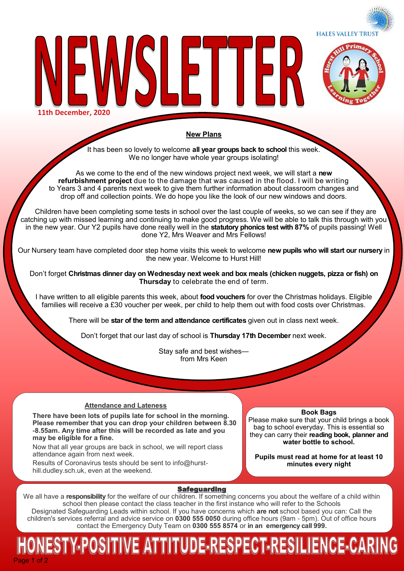



**11th December, 2020**

# **New Plans**

LETTE

It has been so lovely to welcome **all year groups back to school** this week. We no longer have whole year groups isolating!

As we come to the end of the new windows project next week, we will start a **new refurbishment project** due to the damage that was caused in the flood. I will be writing to Years 3 and 4 parents next week to give them further information about classroom changes and drop off and collection points. We do hope you like the look of our new windows and doors.

 Children have been completing some tests in school over the last couple of weeks, so we can see if they are catching up with missed learning and continuing to make good progress. We will be able to talk this through with you in the new year. Our Y2 pupils have done really well in the **statutory phonics test with 87%** of pupils passing! Well done Y2, Mrs Weaver and Mrs Fellows!

Our Nursery team have completed door step home visits this week to welcome **new pupils who will start our nursery** in the new year. Welcome to Hurst Hill!

Don't forget **Christmas dinner day on Wednesday next week and box meals (chicken nuggets, pizza or fish) on Thursday** to celebrate the end of term.

I have written to all eligible parents this week, about **food vouchers** for over the Christmas holidays. Eligible families will receive a £30 voucher per week, per child to help them out with food costs over Christmas.

There will be **star of the term and attendance certificates** given out in class next week.

Don't forget that our last day of school is **Thursday 17th December** next week.

Stay safe and best wishes from Mrs Keen

# **Attendance and Lateness**

**There have been lots of pupils late for school in the morning. Please remember that you can drop your children between 8.30 -8.55am. Any time after this will be recorded as late and you may be eligible for a fine.** 

Now that all year groups are back in school, we will report class attendance again from next week.

Results of Coronavirus tests should be sent to info@hursthill.dudley.sch.uk, even at the weekend.

**Book Bags**

Please make sure that your child brings a book bag to school everyday. This is essential so they can carry their **reading book, planner and water bottle to school.** 

**Pupils must read at home for at least 10 minutes every night**

# **Safeguarding**

We all have a **responsibility** for the welfare of our children. If something concerns you about the welfare of a child within school then please contact the class teacher in the first instance who will refer to the Schools Designated Safeguarding Leads within school. If you have concerns which **are not** school based you can: Call the children's services referral and advice service on **0300 555 0050** during office hours (9am - 5pm). Out of office hours contact the Emergency Duty Team on **0300 555 8574** or **in an emergency call 999.** 

# Page 1 of 2